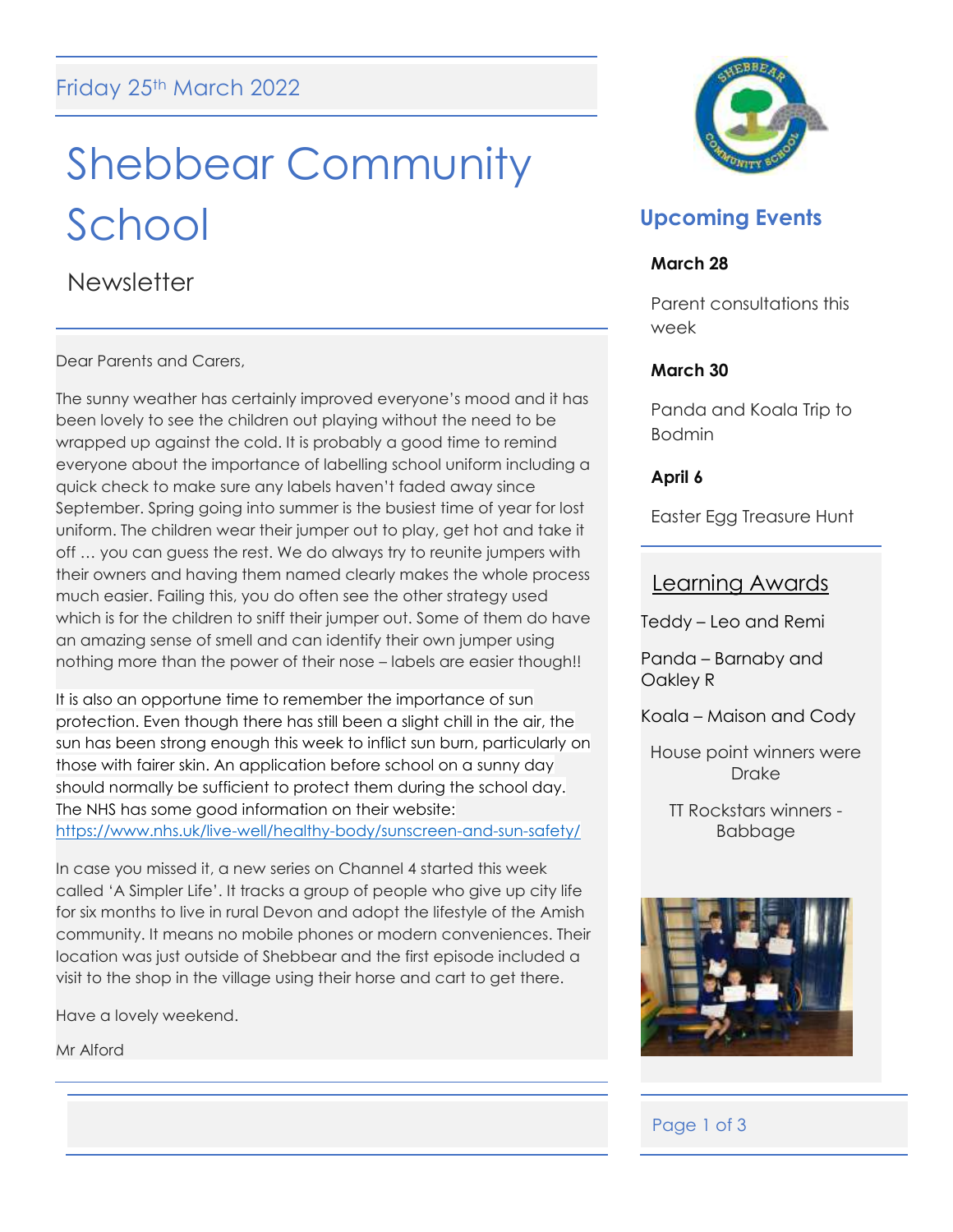# Shebbear Community School

**Newsletter** 

Dear Parents and Carers,

The sunny weather has certainly improved everyone's mood and it has been lovely to see the children out playing without the need to be wrapped up against the cold. It is probably a good time to remind everyone about the importance of labelling school uniform including a quick check to make sure any labels haven't faded away since September. Spring going into summer is the busiest time of year for lost uniform. The children wear their jumper out to play, get hot and take it off … you can guess the rest. We do always try to reunite jumpers with their owners and having them named clearly makes the whole process much easier. Failing this, you do often see the other strategy used which is for the children to sniff their jumper out. Some of them do have an amazing sense of smell and can identify their own jumper using nothing more than the power of their nose – labels are easier though!!

It is also an opportune time to remember the importance of sun protection. Even though there has still been a slight chill in the air, the sun has been strong enough this week to inflict sun burn, particularly on those with fairer skin. An application before school on a sunny day should normally be sufficient to protect them during the school day. The NHS has some good information on their website: <https://www.nhs.uk/live-well/healthy-body/sunscreen-and-sun-safety/>

In case you missed it, a new series on Channel 4 started this week called 'A Simpler Life'. It tracks a group of people who give up city life for six months to live in rural Devon and adopt the lifestyle of the Amish community. It means no mobile phones or modern conveniences. Their location was just outside of Shebbear and the first episode included a visit to the shop in the village using their horse and cart to get there.

Have a lovely weekend.

Mr Alford



## **Upcoming Events**

#### **March 28**

Parent consultations this week

## **March 30**

Panda and Koala Trip to Bodmin

**April 6**

Easter Egg Treasure Hunt

## Learning Awards

Teddy – Leo and Remi

Panda – Barnaby and Oakley R

Koala – Maison and Cody

House point winners were Drake

TT Rockstars winners - Babbage



## Page 1 of 3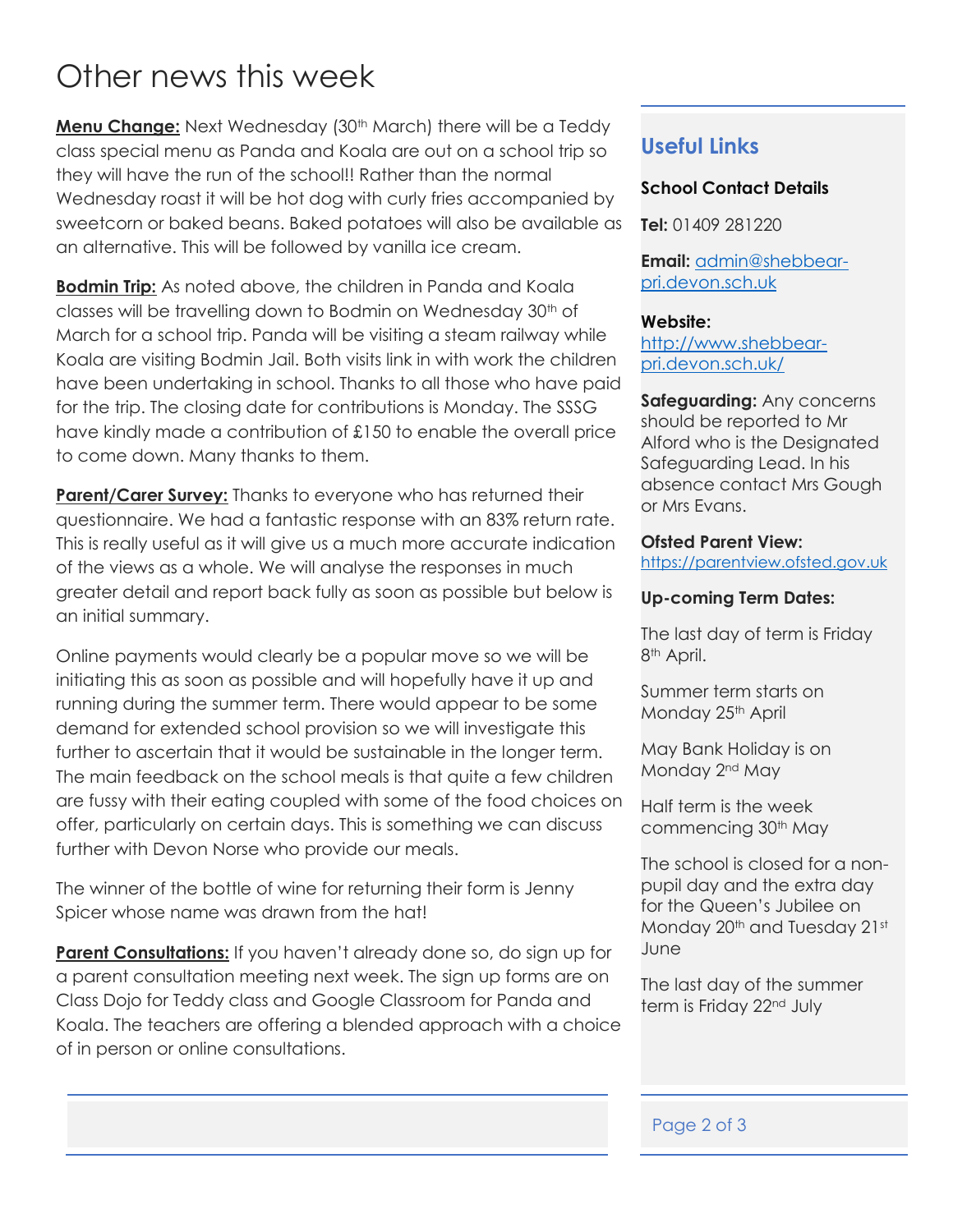## Other news this week

**Menu Change:** Next Wednesday (30<sup>th</sup> March) there will be a Teddy class special menu as Panda and Koala are out on a school trip so they will have the run of the school!! Rather than the normal Wednesday roast it will be hot dog with curly fries accompanied by sweetcorn or baked beans. Baked potatoes will also be available as an alternative. This will be followed by vanilla ice cream.

**Bodmin Trip:** As noted above, the children in Panda and Koala classes will be travelling down to Bodmin on Wednesday 30<sup>th</sup> of March for a school trip. Panda will be visiting a steam railway while Koala are visiting Bodmin Jail. Both visits link in with work the children have been undertaking in school. Thanks to all those who have paid for the trip. The closing date for contributions is Monday. The SSSG have kindly made a contribution of £150 to enable the overall price to come down. Many thanks to them.

**Parent/Carer Survey:** Thanks to everyone who has returned their questionnaire. We had a fantastic response with an 83% return rate. This is really useful as it will give us a much more accurate indication of the views as a whole. We will analyse the responses in much greater detail and report back fully as soon as possible but below is an initial summary.

Online payments would clearly be a popular move so we will be initiating this as soon as possible and will hopefully have it up and running during the summer term. There would appear to be some demand for extended school provision so we will investigate this further to ascertain that it would be sustainable in the longer term. The main feedback on the school meals is that quite a few children are fussy with their eating coupled with some of the food choices on offer, particularly on certain days. This is something we can discuss further with Devon Norse who provide our meals.

The winner of the bottle of wine for returning their form is Jenny Spicer whose name was drawn from the hat!

**Parent Consultations:** If you haven't already done so, do sign up for a parent consultation meeting next week. The sign up forms are on Class Dojo for Teddy class and Google Classroom for Panda and Koala. The teachers are offering a blended approach with a choice of in person or online consultations.

## **Useful Links**

## **School Contact Details**

**Tel:** 01409 281220

**Email:** [admin@shebbear](mailto:admin@shebbear-pri.devon.sch.uk)[pri.devon.sch.uk](mailto:admin@shebbear-pri.devon.sch.uk)

#### **Website:**

[http://www.shebbear](http://www.shebbear-pri.devon.sch.uk/)[pri.devon.sch.uk/](http://www.shebbear-pri.devon.sch.uk/)

**Safeguarding:** Any concerns should be reported to Mr Alford who is the Designated Safeguarding Lead. In his absence contact Mrs Gough or Mrs Evans.

#### **Ofsted Parent View:**

[https://parentview.ofsted.gov.uk](https://parentview.ofsted.gov.uk/)

#### **Up-coming Term Dates:**

The last day of term is Friday 8<sup>th</sup> April.

Summer term starts on Monday 25<sup>th</sup> April

May Bank Holiday is on Monday 2<sup>nd</sup> May

Half term is the week commencing 30th May

The school is closed for a nonpupil day and the extra day for the Queen's Jubilee on Monday 20<sup>th</sup> and Tuesday 21st June

The last day of the summer term is Friday 22<sup>nd</sup> July

### Page 2 of 3